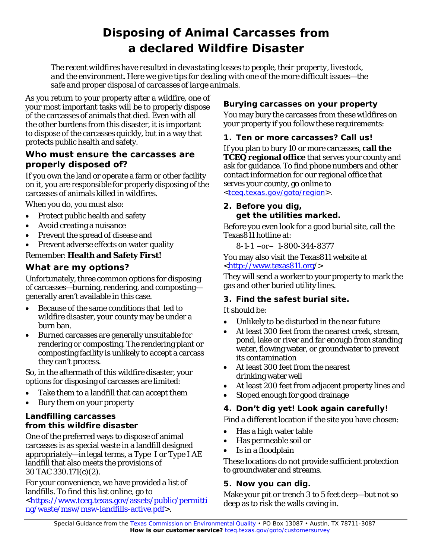# **Disposing of Animal Carcasses from a declared Wildfire Disaster**

*The recent wildfires have resulted in devastating losses to people, their property, livestock, and the environment. Here we give tips for dealing with one of the more difficult issues—the safe and proper disposal of carcasses of large animals.*

As you return to your property after a wildfire, one of your most important tasks will be to properly dispose of the carcasses of animals that died. Even with all the other burdens from this disaster, it is important to dispose of the carcasses quickly, but in a way that protects public health and safety.

# **Who must ensure the carcasses are properly disposed of?**

If you own the land or operate a farm or other facility on it, you are responsible for properly disposing of the carcasses of animals killed in wildfires.

When you do, you must also:

- Protect public health and safety
- Avoid creating a nuisance
- Prevent the spread of disease and
- Prevent adverse effects on water quality

# Remember: **Health and Safety First!**

# **What are my options?**

Unfortunately, three common options for disposing of carcasses—burning, rendering, and composting generally aren't available in this case.

- Because of the same conditions that led to wildfire disaster, your county may be under a burn ban.
- Burned carcasses are generally unsuitable for rendering or composting. The rendering plant or composting facility is unlikely to accept a carcass they can't process.

So, in the aftermath of this wildfire disaster, your options for disposing of carcasses are limited:

- Take them to a landfill that can accept them
- Bury them on your property

### *Landfilling carcasses from this wildfire disaster*

One of the preferred ways to dispose of animal carcasses is as special waste in a landfill designed appropriately—in legal terms, a Type I or Type I AE landfill that also meets the provisions of 30 TAC 330.171(c)(2).

For your convenience, we have provided a list of landfills. To find this list online, go to [<https://www.tceq.texas.gov/assets/public/permitti](https://www.tceq.texas.gov/assets/public/permitting/waste/msw/msw-landfills-active.pdf) [ng/waste/msw/msw-landfills-active.pdf>](https://www.tceq.texas.gov/assets/public/permitting/waste/msw/msw-landfills-active.pdf).

# *Burying carcasses on your property*

You may bury the carcasses from these wildfires on your property if you follow these requirements:

### **1. Ten or more carcasses? Call us!**

If you plan to bury 10 or more carcasses, **call the TCEQ regional office** that serves your county and ask for guidance. To find phone numbers and other contact information for our regional office that serves your county, go online to <tceg.texas.gov/goto/region>.

#### **2. Before you dig, get the utilities marked.**

Before you even look for a good burial site, call the Texas811 hotline at:

8-1-1 −or− 1-800-344-8377

You may also visit the Texas811 website at [<http://www.texas811.org/](http://www.texas811.org/)>

They will send a worker to your property to mark the gas and other buried utility lines.

# **3. Find the safest burial site.**

It should be:

- Unlikely to be disturbed in the near future
- At least 300 feet from the nearest creek, stream, pond, lake or river and far enough from standing water, flowing water, or groundwater to prevent its contamination
- At least 300 feet from the nearest drinking water well
- At least 200 feet from adjacent property lines and
- Sloped enough for good drainage

# **4. Don't dig yet! Look again carefully!**

Find a different location if the site you have chosen:

- Has a high water table
- Has permeable soil or
- Is in a floodplain

These locations do not provide sufficient protection to groundwater and streams.

# **5.** *Now* **you can dig.**

Make your pit or trench 3 to 5 feet deep—but not so deep as to risk the walls caving in.

*Special Guidance from the* Texas Commission on [Environmental](https://www.tceq.texas.gov/) Quality • PO Box 13087 • Austin, TX 78711-3087 How is our customer service? [tceq.texas.gov/goto/customersurvey](https://www.tceq.texas.gov/customersurvey)